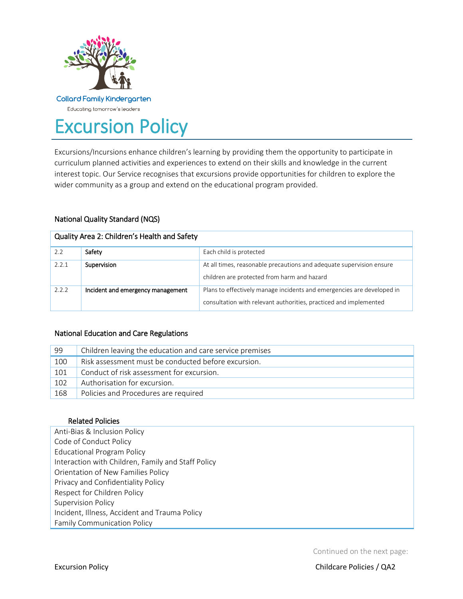

# Excursion Policy

Excursions/Incursions enhance children's learning by providing them the opportunity to participate in curriculum planned activities and experiences to extend on their skills and knowledge in the current interest topic. Our Service recognises that excursions provide opportunities for children to explore the wider community as a group and extend on the educational program provided.

# National Quality Standard (NQS)

| Quality Area 2: Children's Health and Safety |                                   |                                                                                                                                             |  |  |  |
|----------------------------------------------|-----------------------------------|---------------------------------------------------------------------------------------------------------------------------------------------|--|--|--|
| 2.2                                          | Safety                            | Each child is protected                                                                                                                     |  |  |  |
| 2.2.1                                        | Supervision                       | At all times, reasonable precautions and adequate supervision ensure<br>children are protected from harm and hazard                         |  |  |  |
| 2.2.2                                        | Incident and emergency management | Plans to effectively manage incidents and emergencies are developed in<br>consultation with relevant authorities, practiced and implemented |  |  |  |

# National Education and Care Regulations

| 99  | Children leaving the education and care service premises |  |
|-----|----------------------------------------------------------|--|
| 100 | Risk assessment must be conducted before excursion.      |  |
| 101 | Conduct of risk assessment for excursion.                |  |
| 102 | Authorisation for excursion.                             |  |
| 168 | Policies and Procedures are required                     |  |

## Related Policies

Anti-Bias & Inclusion Policy Code of Conduct Policy Educational Program Policy Interaction with Children, Family and Staff Policy Orientation of New Families Policy Privacy and Confidentiality Policy Respect for Children Policy Supervision Policy Incident, Illness, Accident and Trauma Policy Family Communication Policy

Continued on the next page: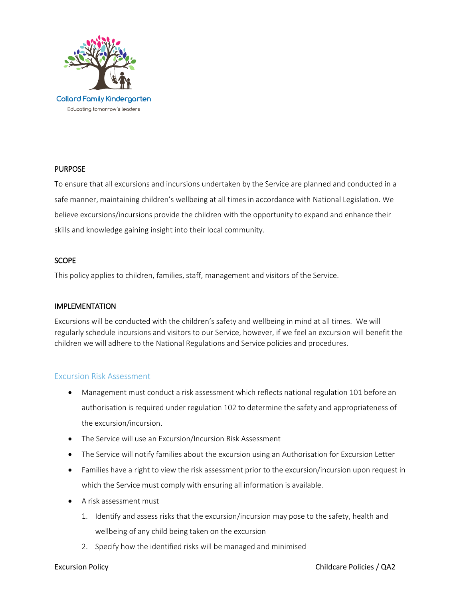

## **PURPOSE**

To ensure that all excursions and incursions undertaken by the Service are planned and conducted in a safe manner, maintaining children's wellbeing at all times in accordance with National Legislation. We believe excursions/incursions provide the children with the opportunity to expand and enhance their skills and knowledge gaining insight into their local community.

## **SCOPE**

This policy applies to children, families, staff, management and visitors of the Service.

## IMPLEMENTATION

Excursions will be conducted with the children's safety and wellbeing in mind at all times. We will regularly schedule incursions and visitors to our Service, however, if we feel an excursion will benefit the children we will adhere to the National Regulations and Service policies and procedures.

## Excursion Risk Assessment

- Management must conduct a risk assessment which reflects national regulation 101 before an authorisation is required under regulation 102 to determine the safety and appropriateness of the excursion/incursion.
- The Service will use an Excursion/Incursion Risk Assessment
- The Service will notify families about the excursion using an Authorisation for Excursion Letter
- Families have a right to view the risk assessment prior to the excursion/incursion upon request in which the Service must comply with ensuring all information is available.
- A risk assessment must
	- 1. Identify and assess risks that the excursion/incursion may pose to the safety, health and wellbeing of any child being taken on the excursion
	- 2. Specify how the identified risks will be managed and minimised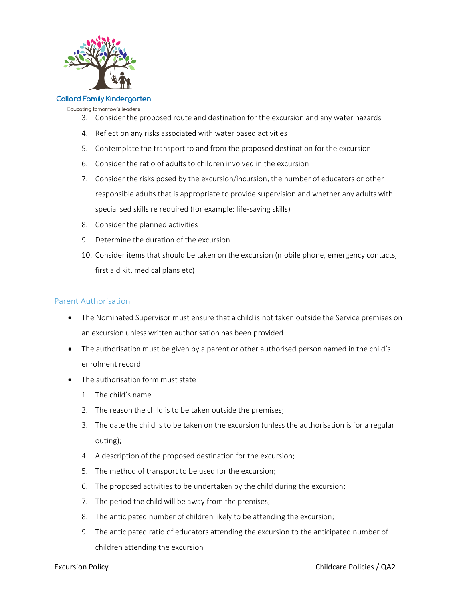

#### **Collard Family Kindergarten**

Educating tomorrow's leaders

- 3. Consider the proposed route and destination for the excursion and any water hazards
- 4. Reflect on any risks associated with water based activities
- 5. Contemplate the transport to and from the proposed destination for the excursion
- 6. Consider the ratio of adults to children involved in the excursion
- 7. Consider the risks posed by the excursion/incursion, the number of educators or other responsible adults that is appropriate to provide supervision and whether any adults with specialised skills re required (for example: life-saving skills)
- 8. Consider the planned activities
- 9. Determine the duration of the excursion
- 10. Consider items that should be taken on the excursion (mobile phone, emergency contacts, first aid kit, medical plans etc)

# Parent Authorisation

- The Nominated Supervisor must ensure that a child is not taken outside the Service premises on an excursion unless written authorisation has been provided
- The authorisation must be given by a parent or other authorised person named in the child's enrolment record
- The authorisation form must state
	- 1. The child's name
	- 2. The reason the child is to be taken outside the premises;
	- 3. The date the child is to be taken on the excursion (unless the authorisation is for a regular outing);
	- 4. A description of the proposed destination for the excursion;
	- 5. The method of transport to be used for the excursion;
	- 6. The proposed activities to be undertaken by the child during the excursion;
	- 7. The period the child will be away from the premises;
	- 8. The anticipated number of children likely to be attending the excursion;
	- 9. The anticipated ratio of educators attending the excursion to the anticipated number of children attending the excursion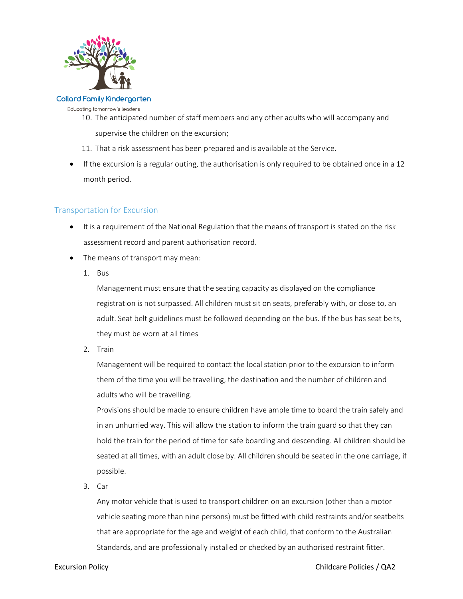

#### **Collard Family Kindergarten**

Educating tomorrow's leaders

- 10. The anticipated number of staff members and any other adults who will accompany and supervise the children on the excursion;
- 11. That a risk assessment has been prepared and is available at the Service.
- If the excursion is a regular outing, the authorisation is only required to be obtained once in a 12 month period.

# Transportation for Excursion

- It is a requirement of the National Regulation that the means of transport is stated on the risk assessment record and parent authorisation record.
- The means of transport may mean:
	- 1. Bus

Management must ensure that the seating capacity as displayed on the compliance registration is not surpassed. All children must sit on seats, preferably with, or close to, an adult. Seat belt guidelines must be followed depending on the bus. If the bus has seat belts, they must be worn at all times

2. Train

Management will be required to contact the local station prior to the excursion to inform them of the time you will be travelling, the destination and the number of children and adults who will be travelling.

Provisions should be made to ensure children have ample time to board the train safely and in an unhurried way. This will allow the station to inform the train guard so that they can hold the train for the period of time for safe boarding and descending. All children should be seated at all times, with an adult close by. All children should be seated in the one carriage, if possible.

3. Car

Any motor vehicle that is used to transport children on an excursion (other than a motor vehicle seating more than nine persons) must be fitted with child restraints and/or seatbelts that are appropriate for the age and weight of each child, that conform to the Australian Standards, and are professionally installed or checked by an authorised restraint fitter.